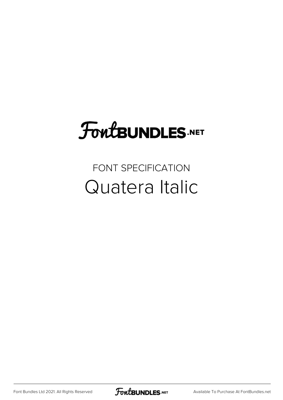# FoutBUNDLES.NET

#### FONT SPECIFICATION Quatera Italic

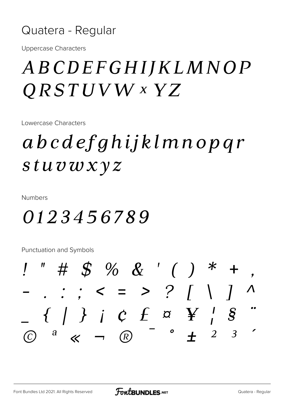#### Quatera - Regular

**Uppercase Characters** 

### ABCDEFGHIJKLMNOP  $QRSTUVW$  x  $YZ$

Lowercase Characters

## abcdefghijklmnopgr stuvwxyz

**Numbers** 

#### 0123456789

**Punctuation and Symbols** 

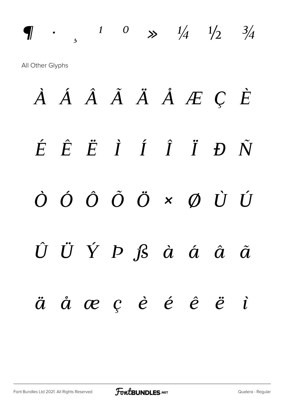*n*  $\frac{1}{2}$   $\frac{3}{4}$ All Other Glyphs

*À Á Â Ã Ä Å Æ Ç È É Ê Ë Ì Í Î Ï Ð Ñ Ò Ó Ô Õ Ö × Ø Ù Ú Û Ü Ý Þ ß à á â ã ä å æ ç è é ê ë ì*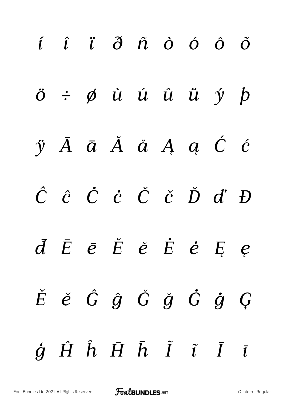| $i$ $i$ $\ddot{o}$ $\ddot{n}$ $\dot{o}$ $\dot{o}$ $\ddot{o}$                                      |  |  |  |  |
|---------------------------------------------------------------------------------------------------|--|--|--|--|
| $\ddot{o}$ $\div$ $\phi$ $\dot{u}$ $\acute{u}$ $\ddot{u}$ $\ddot{u}$ $\acute{y}$ $\dot{p}$        |  |  |  |  |
| $\ddot{y}$ $\bar{A}$ $\bar{a}$ $\ddot{A}$ $\ddot{a}$ $A$ $a$ $\acute{c}$ $\acute{c}$              |  |  |  |  |
| $\hat{C}$ $\hat{c}$ $\dot{C}$ $\dot{C}$ $\check{C}$ $\check{C}$ $\check{D}$ $\check{d}'$ $D$      |  |  |  |  |
| $\bar{d}$ $\bar{E}$ $\bar{e}$ $\check{E}$ $\check{e}$ $\dot{E}$ $\dot{e}$ $E$ $e$                 |  |  |  |  |
| $\check{E}$ $\check{e}$ $\hat{G}$ $\hat{g}$ $\check{G}$ $\check{g}$ $\hat{G}$ $\hat{g}$ $\hat{G}$ |  |  |  |  |
| $\dot{g}$ $\hat{H}$ $\hat{h}$ $\bar{H}$ $\bar{h}$ $\tilde{I}$ $\tilde{I}$ $\bar{I}$ $\bar{I}$     |  |  |  |  |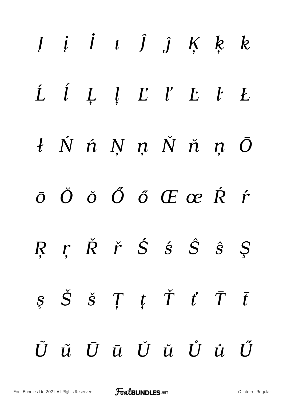|  |  | $I$ $i$ $I$ $i$ $\hat{J}$ $j$ $K$ $k$ $k$                                                                                                                                                                                                                                                                                                                                                                                         |  |  |
|--|--|-----------------------------------------------------------------------------------------------------------------------------------------------------------------------------------------------------------------------------------------------------------------------------------------------------------------------------------------------------------------------------------------------------------------------------------|--|--|
|  |  | $\begin{array}{cccccccccccccc} \hat{L} & \hat{l} & \hat{L} & \hat{l} & \hat{L} & \hat{l}' & \hat{L}' & \hat{L}' & \hat{L}' & \hat{L}' & \hat{L}' & \hat{L}' & \hat{L}' & \hat{L}' & \hat{L}' & \hat{L}' & \hat{L}' & \hat{L}' & \hat{L}' & \hat{L}' & \hat{L}' & \hat{L}' & \hat{L}' & \hat{L}' & \hat{L}' & \hat{L}' & \hat{L}' & \hat{L}' & \hat{L}' & \hat{L}' & \hat{L}' & \hat{L}' & \hat{L}' & \hat{L}' & \hat{L}' & \hat{$ |  |  |
|  |  | $t$ Ń ń Ņ ņ Ň ň ņ Ō                                                                                                                                                                                                                                                                                                                                                                                                               |  |  |
|  |  | $\bar{o}$ $\check{O}$ $\check{O}$ $\tilde{O}$ $\tilde{O}$ $\tilde{C}$ $\tilde{C}$ $\tilde{C}$ $\tilde{R}$ $\tilde{r}$                                                                                                                                                                                                                                                                                                             |  |  |
|  |  | R r $\check{R}$ $\check{r}$ $\check{S}$ $\hat{s}$ $\hat{S}$ $\hat{s}$ $\hat{S}$                                                                                                                                                                                                                                                                                                                                                   |  |  |
|  |  | $S \quad \check{S} \quad \check{S} \quad T \quad t \quad \check{T} \quad t \quad \bar{T} \quad \bar{t}$                                                                                                                                                                                                                                                                                                                           |  |  |
|  |  | ŨũŪū Ŭŭ Ůů Ű                                                                                                                                                                                                                                                                                                                                                                                                                      |  |  |